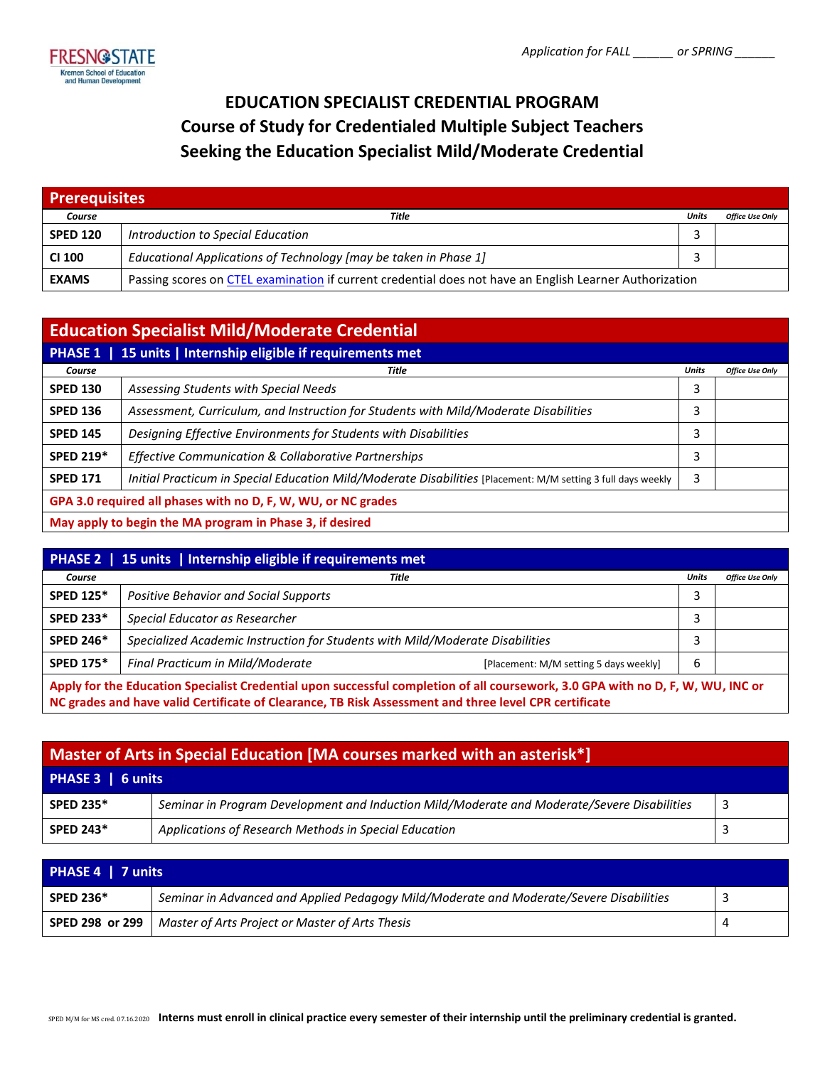

# **EDUCATION SPECIALIST CREDENTIAL PROGRAM Course of Study for Credentialed Multiple Subject Teachers Seeking the Education Specialist Mild/Moderate Credential**

| <b>Prerequisites</b> |                                                                                                         |       |                        |
|----------------------|---------------------------------------------------------------------------------------------------------|-------|------------------------|
| Course               | Title                                                                                                   | Units | <b>Office Use Only</b> |
| <b>SPED 120</b>      | Introduction to Special Education                                                                       |       |                        |
| <b>CI 100</b>        | Educational Applications of Technology [may be taken in Phase 1]                                        |       |                        |
| <b>EXAMS</b>         | Passing scores on CTEL examination if current credential does not have an English Learner Authorization |       |                        |

| <b>Education Specialist Mild/Moderate Credential</b>          |                                                                                                              |              |                        |
|---------------------------------------------------------------|--------------------------------------------------------------------------------------------------------------|--------------|------------------------|
| 15 units   Internship eligible if requirements met<br>PHASE 1 |                                                                                                              |              |                        |
| Course                                                        | Title                                                                                                        | <b>Units</b> | <b>Office Use Only</b> |
| <b>SPED 130</b>                                               | Assessing Students with Special Needs                                                                        | 3            |                        |
| <b>SPED 136</b>                                               | Assessment, Curriculum, and Instruction for Students with Mild/Moderate Disabilities                         | 3            |                        |
| <b>SPED 145</b>                                               | Designing Effective Environments for Students with Disabilities                                              | 3            |                        |
| <b>SPED 219*</b>                                              | Effective Communication & Collaborative Partnerships                                                         | 3            |                        |
| <b>SPED 171</b>                                               | Initial Practicum in Special Education Mild/Moderate Disabilities [Placement: M/M setting 3 full days weekly | 3            |                        |
| GPA 3.0 required all phases with no D, F, W, WU, or NC grades |                                                                                                              |              |                        |
| May apply to begin the MA program in Phase 3, if desired      |                                                                                                              |              |                        |

| PHASE 2   15 units   Internship eligible if requirements met                                                                                                                                                                             |                                                                               |              |                        |
|------------------------------------------------------------------------------------------------------------------------------------------------------------------------------------------------------------------------------------------|-------------------------------------------------------------------------------|--------------|------------------------|
| Course                                                                                                                                                                                                                                   | Title                                                                         | <b>Units</b> | <b>Office Use Only</b> |
| <b>SPED 125*</b>                                                                                                                                                                                                                         | <b>Positive Behavior and Social Supports</b>                                  | 3            |                        |
| <b>SPED 233*</b>                                                                                                                                                                                                                         | Special Educator as Researcher                                                | 3            |                        |
| <b>SPED 246*</b>                                                                                                                                                                                                                         | Specialized Academic Instruction for Students with Mild/Moderate Disabilities |              |                        |
| <b>SPED 175*</b>                                                                                                                                                                                                                         | Final Practicum in Mild/Moderate<br>[Placement: M/M setting 5 days weekly]    | 6            |                        |
| Apply for the Education Specialist Credential upon successful completion of all coursework, 3.0 GPA with no D, F, W, WU, INC or<br>NC grades and have valid Certificate of Clearance, TB Risk Assessment and three level CPR certificate |                                                                               |              |                        |

| Master of Arts in Special Education [MA courses marked with an asterisk*] |                                                                                             |    |  |
|---------------------------------------------------------------------------|---------------------------------------------------------------------------------------------|----|--|
| PHASE 3   6 units                                                         |                                                                                             |    |  |
| <b>SPED 235*</b>                                                          | Seminar in Program Development and Induction Mild/Moderate and Moderate/Severe Disabilities | -3 |  |
| <b>SPED 243*</b>                                                          | Applications of Research Methods in Special Education                                       |    |  |

| PHASE 4   7 units |                                                                                         |   |  |
|-------------------|-----------------------------------------------------------------------------------------|---|--|
| <b>SPED 236*</b>  | Seminar in Advanced and Applied Pedagogy Mild/Moderate and Moderate/Severe Disabilities | ٮ |  |
| SPED 298 or 299   | Master of Arts Project or Master of Arts Thesis                                         |   |  |